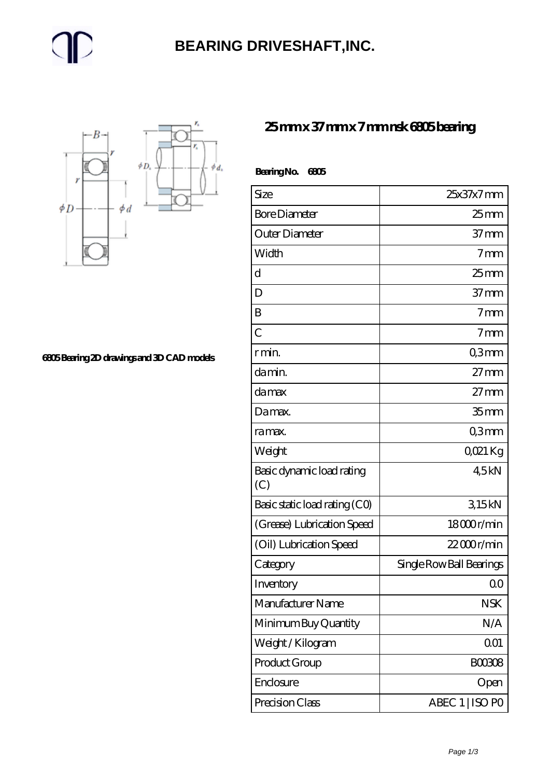### **[BEARING DRIVESHAFT,INC.](https://trendco-vick.com)**



**[6805 Bearing 2D drawings and 3D CAD models](https://trendco-vick.com/pic-412335.html)**

#### **[25 mm x 37 mm x 7 mm nsk 6805 bearing](https://trendco-vick.com/nsk-6805-bearing/)**

| BearingNo.<br>6805               |                          |
|----------------------------------|--------------------------|
| Size                             | 25x37x7mm                |
| <b>Bore Diameter</b>             | $25$ mm                  |
| Outer Diameter                   | 37 <sub>mm</sub>         |
| Width                            | 7 <sub>mm</sub>          |
| d                                | $25$ mm                  |
| D                                | $37 \text{mm}$           |
| B                                | 7 <sub>mm</sub>          |
| $\overline{C}$                   | 7 <sub>mm</sub>          |
| r min.                           | Q3mm                     |
| da min.                          | $27 \text{mm}$           |
| da max                           | $27 \text{mm}$           |
| Damax.                           | 35 <sub>mm</sub>         |
| ra max.                          | Q3mm                     |
| Weight                           | QO21 Kg                  |
| Basic dynamic load rating<br>(C) | 45kN                     |
| Basic static load rating (CO)    | 315kN                    |
| (Grease) Lubrication Speed       | 18000r/min               |
| (Oil) Lubrication Speed          | $2200$ r/min             |
| Category                         | Single Row Ball Bearings |
| Inventory                        | 0 <sub>0</sub>           |
| Manufacturer Name                | <b>NSK</b>               |
| Minimum Buy Quantity             | N/A                      |
| Weight/Kilogram                  | 001                      |
| Product Group                    | <b>BOO3O8</b>            |
| Enclosure                        | Open                     |
| Precision Class                  | ABEC 1   ISO PO          |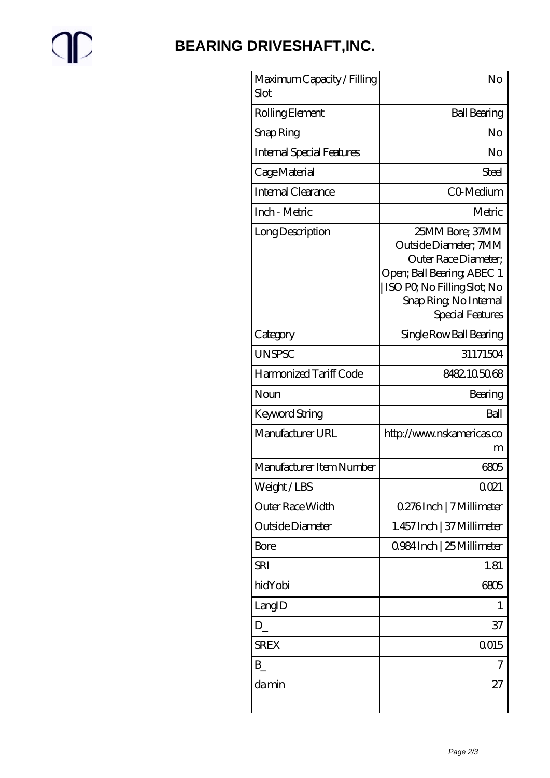# $\mathbb{P}$

## **[BEARING DRIVESHAFT,INC.](https://trendco-vick.com)**

| Maximum Capacity / Filling<br>Slot | No                                                                                                                                                                          |
|------------------------------------|-----------------------------------------------------------------------------------------------------------------------------------------------------------------------------|
| Rolling Element                    | <b>Ball Bearing</b>                                                                                                                                                         |
| Snap Ring                          | No                                                                                                                                                                          |
| <b>Internal Special Features</b>   | No                                                                                                                                                                          |
| Cage Material                      | Steel                                                                                                                                                                       |
| Internal Clearance                 | CO-Medium                                                                                                                                                                   |
| Inch - Metric                      | Metric                                                                                                                                                                      |
| Long Description                   | 25MM Bore; 37MM<br>Outside Diameter; 7MM<br>Outer Race Diameter:<br>Open; Ball Bearing; ABEC 1<br>ISO PO, No Filling Slot; No<br>Snap Ring, No Internal<br>Special Features |
| Category                           | Single Row Ball Bearing                                                                                                                                                     |
| <b>UNSPSC</b>                      | 31171504                                                                                                                                                                    |
| Harmonized Tariff Code             | 8482105068                                                                                                                                                                  |
| Noun                               | Bearing                                                                                                                                                                     |
| Keyword String                     | Ball                                                                                                                                                                        |
| Manufacturer URL                   | http://www.nskamericas.co<br>m                                                                                                                                              |
| Manufacturer Item Number           | 6805                                                                                                                                                                        |
| Weight/LBS                         | 0021                                                                                                                                                                        |
| Outer Race Width                   | 0.276Inch   7 Millimeter                                                                                                                                                    |
| Outside Diameter                   | 1.457 Inch   37 Millimeter                                                                                                                                                  |
| Bore                               | 0984 Inch   25 Millimeter                                                                                                                                                   |
| SRI                                | 1.81                                                                                                                                                                        |
| hidYobi                            | 6805                                                                                                                                                                        |
| LangID                             | 1                                                                                                                                                                           |
| $D_{-}$                            | 37                                                                                                                                                                          |
| <b>SREX</b>                        | 0015                                                                                                                                                                        |
| B                                  |                                                                                                                                                                             |
| damin                              | 27                                                                                                                                                                          |
|                                    |                                                                                                                                                                             |